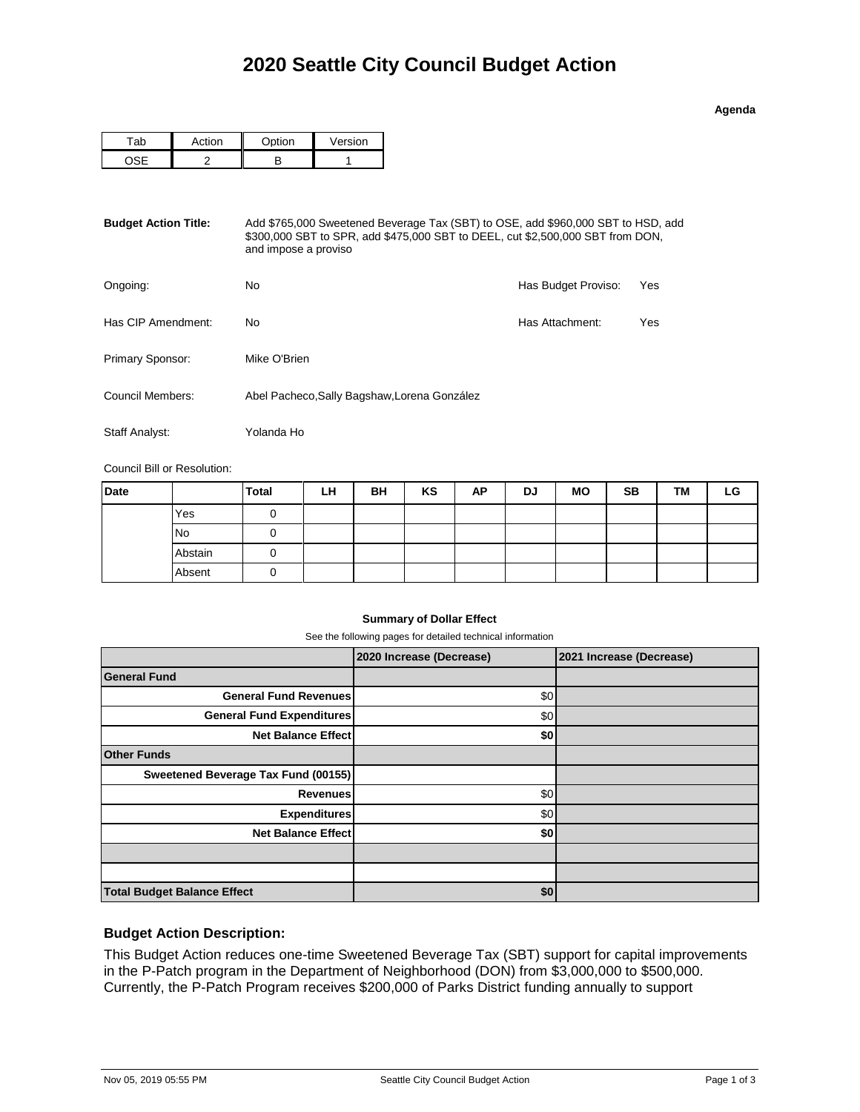| l | c |  |
|---|---|--|

|  | $\sim$ $\sim$ $\sim$ $\sim$ | Version |
|--|-----------------------------|---------|
|  |                             |         |

| <b>Budget Action Title:</b> | Add \$765,000 Sweetened Beverage Tax (SBT) to OSE, add \$960,000 SBT to HSD, add<br>\$300,000 SBT to SPR, add \$475,000 SBT to DEEL, cut \$2,500,000 SBT from DON,<br>and impose a proviso |                     |     |  |  |  |
|-----------------------------|--------------------------------------------------------------------------------------------------------------------------------------------------------------------------------------------|---------------------|-----|--|--|--|
| Ongoing:                    | No                                                                                                                                                                                         | Has Budget Proviso: | Yes |  |  |  |
| Has CIP Amendment:          | No                                                                                                                                                                                         | Has Attachment:     | Yes |  |  |  |
| <b>Primary Sponsor:</b>     | Mike O'Brien                                                                                                                                                                               |                     |     |  |  |  |
| Council Members:            | Abel Pacheco, Sally Bagshaw, Lorena González                                                                                                                                               |                     |     |  |  |  |
| Staff Analyst:              | Yolanda Ho                                                                                                                                                                                 |                     |     |  |  |  |

Council Bill or Resolution:

| <b>Date</b> |           | <b>Total</b> | LH | BH | KS | AP | <b>DJ</b> | <b>MO</b> | <b>SB</b> | TM | LG |
|-------------|-----------|--------------|----|----|----|----|-----------|-----------|-----------|----|----|
|             | Yes       |              |    |    |    |    |           |           |           |    |    |
|             | <b>No</b> |              |    |    |    |    |           |           |           |    |    |
|             | Abstain   |              |    |    |    |    |           |           |           |    |    |
|             | Absent    |              |    |    |    |    |           |           |           |    |    |

## **Summary of Dollar Effect**

See the following pages for detailed technical information

|                                     | 2020 Increase (Decrease) | 2021 Increase (Decrease) |
|-------------------------------------|--------------------------|--------------------------|
| <b>General Fund</b>                 |                          |                          |
| <b>General Fund Revenues</b>        | \$0                      |                          |
| <b>General Fund Expenditures</b>    | \$0                      |                          |
| <b>Net Balance Effect</b>           | \$0                      |                          |
| <b>Other Funds</b>                  |                          |                          |
| Sweetened Beverage Tax Fund (00155) |                          |                          |
| Revenues                            | \$0                      |                          |
| <b>Expenditures</b>                 | \$0                      |                          |
| <b>Net Balance Effect</b>           | \$0                      |                          |
|                                     |                          |                          |
|                                     |                          |                          |
| <b>Total Budget Balance Effect</b>  | \$0                      |                          |

## **Budget Action Description:**

This Budget Action reduces one-time Sweetened Beverage Tax (SBT) support for capital improvements in the P-Patch program in the Department of Neighborhood (DON) from \$3,000,000 to \$500,000. Currently, the P-Patch Program receives \$200,000 of Parks District funding annually to support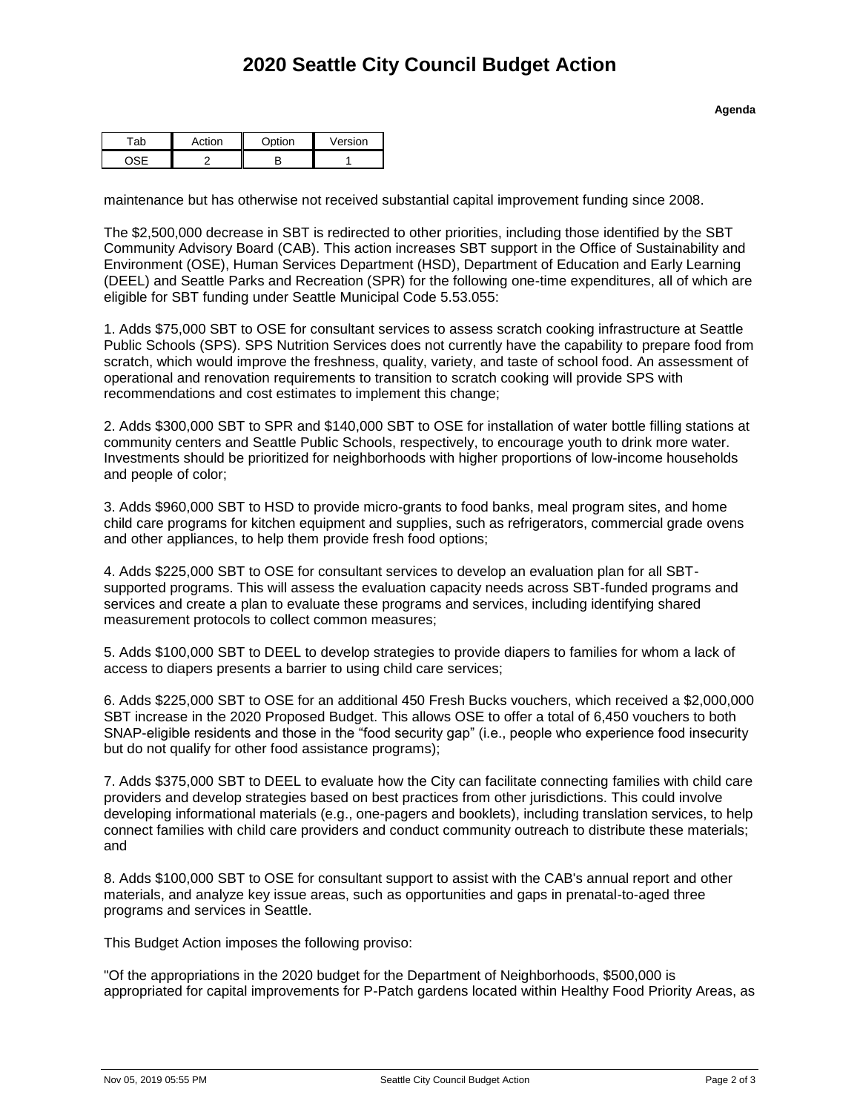| $-1$ | Ontion | ersion |
|------|--------|--------|
|      |        |        |

maintenance but has otherwise not received substantial capital improvement funding since 2008.

The \$2,500,000 decrease in SBT is redirected to other priorities, including those identified by the SBT Community Advisory Board (CAB). This action increases SBT support in the Office of Sustainability and Environment (OSE), Human Services Department (HSD), Department of Education and Early Learning (DEEL) and Seattle Parks and Recreation (SPR) for the following one-time expenditures, all of which are eligible for SBT funding under Seattle Municipal Code 5.53.055:

1. Adds \$75,000 SBT to OSE for consultant services to assess scratch cooking infrastructure at Seattle Public Schools (SPS). SPS Nutrition Services does not currently have the capability to prepare food from scratch, which would improve the freshness, quality, variety, and taste of school food. An assessment of operational and renovation requirements to transition to scratch cooking will provide SPS with recommendations and cost estimates to implement this change;

2. Adds \$300,000 SBT to SPR and \$140,000 SBT to OSE for installation of water bottle filling stations at community centers and Seattle Public Schools, respectively, to encourage youth to drink more water. Investments should be prioritized for neighborhoods with higher proportions of low-income households and people of color;

3. Adds \$960,000 SBT to HSD to provide micro-grants to food banks, meal program sites, and home child care programs for kitchen equipment and supplies, such as refrigerators, commercial grade ovens and other appliances, to help them provide fresh food options;

4. Adds \$225,000 SBT to OSE for consultant services to develop an evaluation plan for all SBTsupported programs. This will assess the evaluation capacity needs across SBT-funded programs and services and create a plan to evaluate these programs and services, including identifying shared measurement protocols to collect common measures;

5. Adds \$100,000 SBT to DEEL to develop strategies to provide diapers to families for whom a lack of access to diapers presents a barrier to using child care services;

6. Adds \$225,000 SBT to OSE for an additional 450 Fresh Bucks vouchers, which received a \$2,000,000 SBT increase in the 2020 Proposed Budget. This allows OSE to offer a total of 6,450 vouchers to both SNAP-eligible residents and those in the "food security gap" (i.e., people who experience food insecurity but do not qualify for other food assistance programs);

7. Adds \$375,000 SBT to DEEL to evaluate how the City can facilitate connecting families with child care providers and develop strategies based on best practices from other jurisdictions. This could involve developing informational materials (e.g., one-pagers and booklets), including translation services, to help connect families with child care providers and conduct community outreach to distribute these materials; and

8. Adds \$100,000 SBT to OSE for consultant support to assist with the CAB's annual report and other materials, and analyze key issue areas, such as opportunities and gaps in prenatal-to-aged three programs and services in Seattle.

This Budget Action imposes the following proviso:

"Of the appropriations in the 2020 budget for the Department of Neighborhoods, \$500,000 is appropriated for capital improvements for P-Patch gardens located within Healthy Food Priority Areas, as